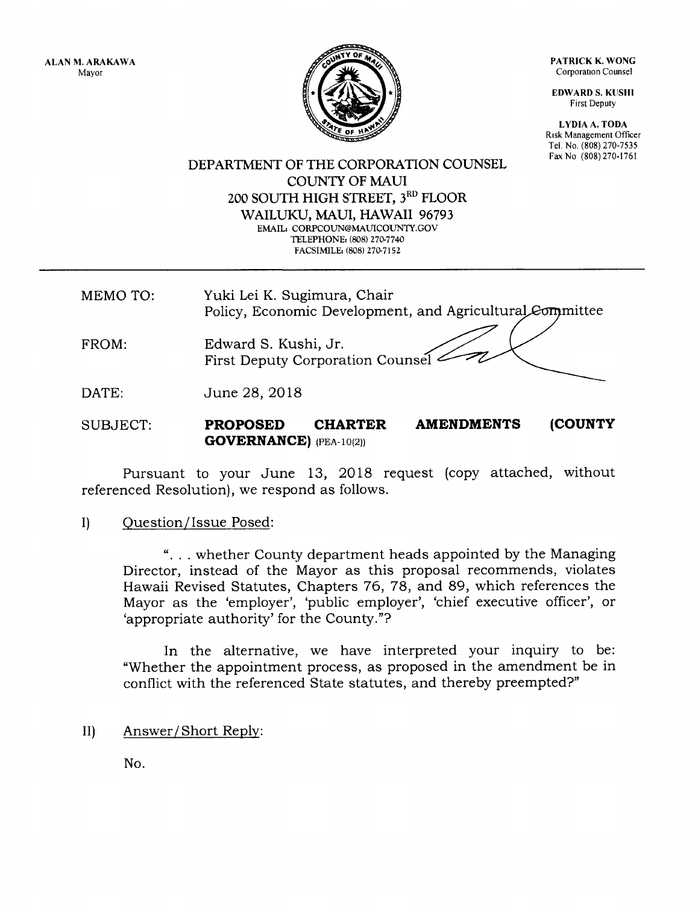PATRICK K. WONG Corporation Counsel

EDWARD S. KUSHI First Depufy

LYDIA A. TODA Risk Management Officer Tel. No. (808) 270-7535 Fax No (808) 270-1761

TY OR

DEPARTMENT OF THE CORPORATION COUNSEL COLINTY OF MAUI 200 SOUTH HIGH STREET, 3<sup>RD</sup> FLOOR WAILUKU, MAUI, HAWAII 96793 EMAIL: CORPCOUN@MAUICOUNTY.GOV TELEPHONE: (808) 270-7740 FACSIMILE: (808) 270-7152

MEMO TO: Yuki Lei K. Sugimura, Chair Policy, Economic Development, and Agricultural Committee

FROM: Edward S. Kushi, Jr. First Deputy Corporation Coun

DATE: June 28,2018

SUBJECT: PROPOSED CHARTER GOVERNANCE) (PEA-10(2)) AMENDMENTS (COUNTY

Pursuant to your June 13, 2OL8 request (copy attached, without referenced Resolution), we respond as follows.

I) Question/lssue Posed:

". . . whether County department heads appointed by the Managing Director, instead of the Mayor as this proposal recommends, violates Hawaii Revised Statutes, Chapters 76, 78, and 89, which references the Mayor as the 'employer', 'public employer', 'chief executive officer', or 'appropriate authority' for the County."?

In the alternative, we have interpreted your inquiry to be: "Whether the appointment process, as proposed in the amendment be in conflict with the referenced State statutes, and thereby preempted?"

II) Answer/Short Replv

No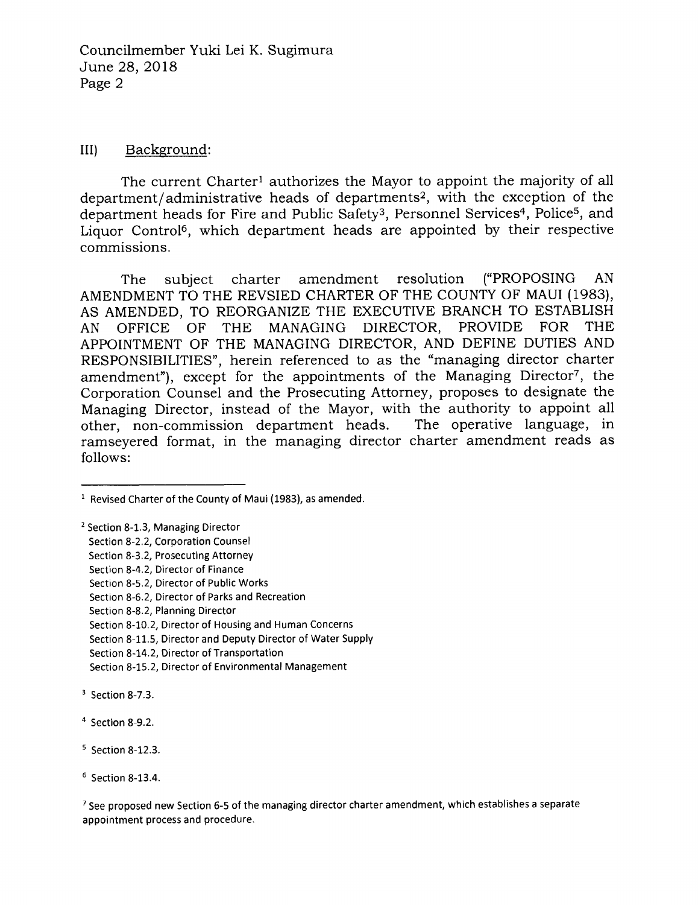### III) Background:

The current Charter<sup>1</sup> authorizes the Mayor to appoint the majority of all department/administrative heads of departments2, with the exception of the department heads for Fire and Public Safety<sup>3</sup>, Personnel Services<sup>4</sup>, Police<sup>5</sup>, and Liquor Control6, which department heads are appointed by their respective commissions.

The subject charter amendment resolution ("PROPOSING AN AMENDMENT TO THE REVSIED CHARTER OF THE COUNTY OF MAUI (1983), AS AMENDED, TO REORGANIZE THE EXECUTIVE BRANCH TO ESTABLISH AN OFFICE OF THE MANAGING DIRECTOR, PROVIDE FOR THE APPOINTMENT OF THE MANAGING DIRECTOR, AND DEFINE DUTIES AND RESPONSIBILITIES", herein referenced to as the "managing director charter amendment"), except for the appointments of the Managing Director<sup>7</sup>, the Corporation Counsel and the Prosecuting Attorney, proposes to designate the Managing Director, instead of the Mayor, with the authority to appoint all other, non-commission department heads. The operative language, in ramseyered format, in the managing director charter amendment reads as follows:

Section 8-10.2, Director of Housing and Human Concerns

Section 8-11.5, Director and Deputy Director of Water Supply

Section 8-15.2, Director of Environmental Management

<sup>7</sup>See proposed new Section 6-5 of the managing director charter amendment, which establishes a separate appointment process and procedure.

 $1$  Revised Charter of the County of Maui (1983), as amended.

<sup>&</sup>lt;sup>2</sup> Section 8-1.3, Managing Director

Section 8-2.2, Corporation Counsel

Section 8-3.2, Prosecuting Attorney

Section 8-4.2, Director of Finance

Section 8-5.2, Director of Public Works

Section 8-6.2, Director of Parks and Recreation

Section 8-8.2, Planning Director

Section 8-14.2, Director of Transportation

 $3$  Section 8-7.3.

<sup>4</sup> Section 8-9.2

s Section 8-12.3.

<sup>6</sup> Section 8-13.4.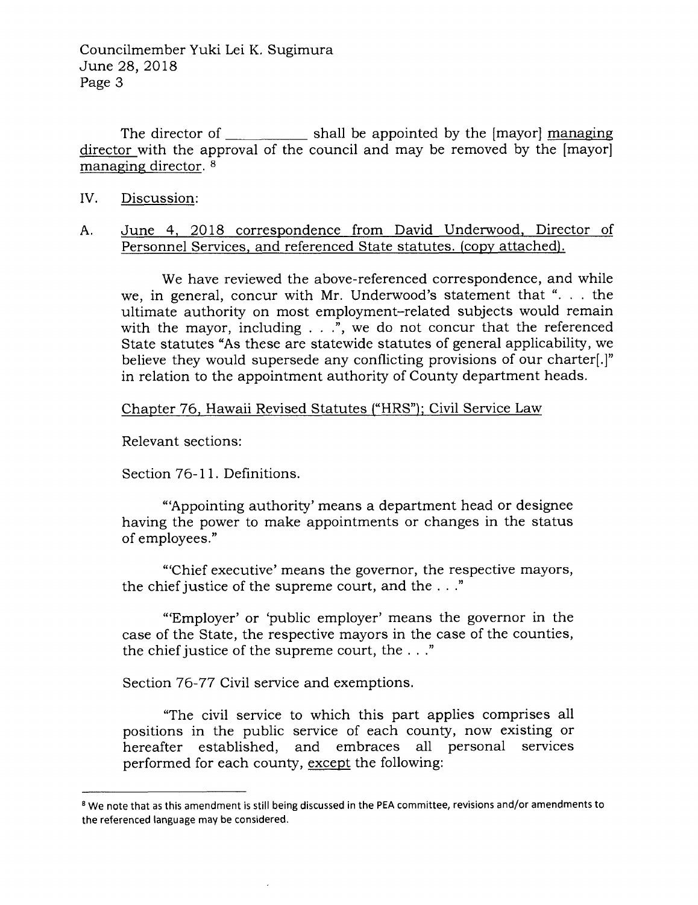The director of  $\frac{1}{\sqrt{1-\frac{1}{\sqrt{1-\frac{1}{\sqrt{1-\frac{1}{\sqrt{1-\frac{1}{\sqrt{1-\frac{1}{\sqrt{1-\frac{1}{\sqrt{1-\frac{1}{\sqrt{1-\frac{1}{\sqrt{1-\frac{1}{\sqrt{1-\frac{1}{\sqrt{1-\frac{1}{\sqrt{1-\frac{1}{\sqrt{1-\frac{1}{\sqrt{1-\frac{1}{\sqrt{1-\frac{1}{\sqrt{1-\frac{1}{\sqrt{1-\frac{1}{\sqrt{1-\frac{1}{\sqrt{1-\frac{1}{\sqrt{1-\frac{1}{\sqrt{1-\frac{1}{\sqrt{1-\frac{1}{\$ director with the approval of the council and may be removed by the [mayor] managing director. <sup>8</sup>

- IV. Discussion:
- A. June 4, 2018 correspondence from David Underwood, Director of Personnel Services, and referenced State statutes. (copy attached).

We have reviewed the above-referenced correspondence, and while we, in general, concur with Mr. Underwood's statement that " $\ldots$  the ultimate authority on most employment-related subjects would remain with the mayor, including  $\ldots$ , we do not concur that the referenced State statutes "As these are statewide statutes of general applicability, we believe they would supersede any conflicting provisions of our charter.<sup>[1]</sup> in relation to the appointment authority of County department heads.

Chapter 76, Hawaii Revised Statutes ("HRS"); Civil Service Law

Relevant sections:

Section 76-11. Definitions.

"Appointing authority' means a department head or designee having the power to make appointments or changes in the status of employees."

"'Chief executive' means the governor, the respective mayors, the chief justice of the supreme court, and the . . ."

"'Employer' or 'public employer' means the governor in the case of the State, the respective mayors in the case of the counties, the chief justice of the supreme court, the  $\dots$ "

Section 76-77 Civil service and exemptions.

"The civil service to which this part applies comprises all positions in the public service of each counfy, now existing or hereafter established, and embraces all personal services performed for each county, except the following:

<sup>&</sup>lt;sup>8</sup> We note that as this amendment is still being discussed in the PEA committee, revisions and/or amendments to the referenced language may be considered.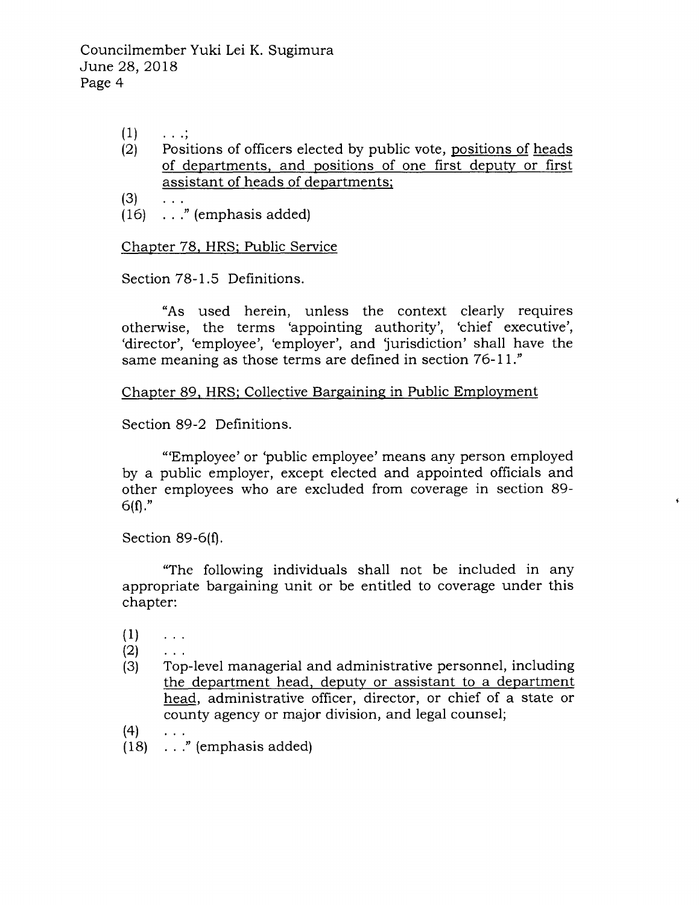$(1)$  $\ldots$  :

 $\dddot{\phantom{0}}$ 

- (2) Positions of officers elected by public vote, positions of heads of departments, and positions of one first deputy or first assistant of heads of departments;
- $(3)$
- $(16)$  . . ." (emphasis added)

Chapter 78, HRS: Public Service

Section 78-1.5 Definitions.

"As used herein, unless the context clearly requires otherwise, the terms 'appointing authority', 'chief executive', 'director', 'employee', 'employer', and 'jurisdiction' shall have the same meaning as those terms are defined in section 76-11."

Chapter 89. HRS: Collective Bareainine in Public Employment

Section 89-2 Definitions.

"'Employee' or'public employee' means any person employed by a public employer, except elected and appointed officials and other employees who are excluded from coverage in section 89-  $6(f)."$ 

!

Section  $89-6(f)$ .

"The following individuals shall not be included in any appropriate bargaining unit or be entitled to coverage under this chapter:

- $(1)$  $\sim 100$
- $(2)$  $\ldots$
- Top-level managerial and administrative personnel, including the department head, deputy or assistant to a department head, administrative officer, director, or chief of a state or county agency or major division, and legal counsel;  $(3)$
- (4)
- (18) ..." (emphasis added)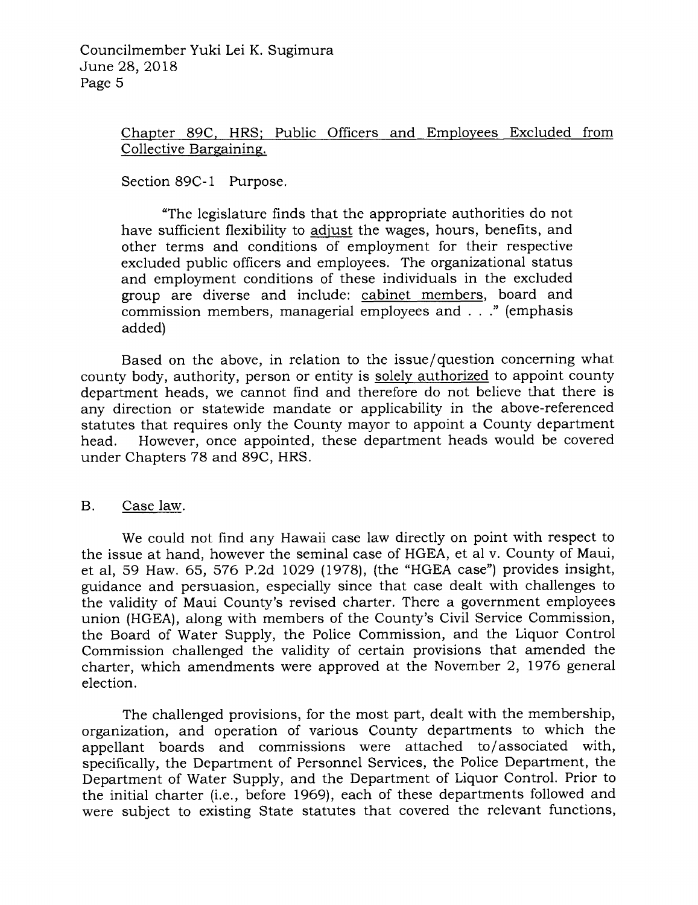# Chanter 89C. HRS: Public Officers and Emnlovees Excluded from Collective Bargaining.

Section 89C-1 Purpose.

"The legislature finds that the appropriate authorities do not have sufficient flexibility to adiust the wages, hours, benefits, and other terms and conditions of employment for their respective excluded public officers and employees. The organizational status and employment conditions of these individuals in the excluded group are diverse and include: cabinet members, board and commission members, managerial employees and  $\dots$ " (emphasis added)

Based on the above, in relation to the issue/question concerning what county body, authority, person or entity is solely authorized to appoint county department heads, we cannot find and therefore do not believe that there is any direction or statewide mandate or applicability in the above-referenced statutes that requires only the County mayor to appoint a County department head. However, once appointed, these department heads would be covered under Chapters 78 and 89C, HRS.

## B. Case law.

We could not find any Hawaii case law directly on point with respect to the issue at hand, however the seminal case of HGEA, et al v. County of Maui, et al, 59 Haw. 65, 576 P.2d lO29 (19781, (the "HGEA case") provides insight, guidance and persuasion, especially since that case dealt with challenges to the validity of Maui County's revised charter, There a government employees union (HGEA), along with members of the County's Civil Service Commission, the Board of Water Supply, the Police Commission, and the Liquor Control Commission challenged the validity of certain provisions that amended the charter, which amendments were approved at the November 2, 1976 general election.

The challenged provisions, for the most part, dealt with the membership, organization, and operation of various County departments to which the appellant boards and commissions were attached to/associated with, specifically, the Department of Personnel Services, the Police Department, the Department of Water Supply, and the Department of Liquor Control. Prior to the initial charter (i.e., before 1969), each of these departments followed and were subject to existing State statutes that covered the relevant functions,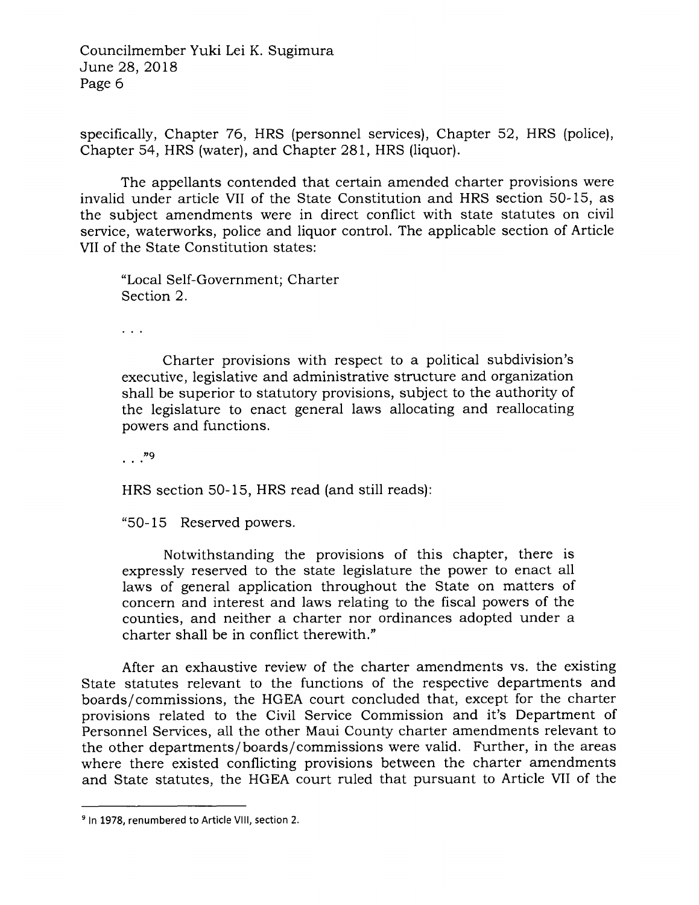specifically, Chapter 76, HRS (personnel services), Chapter 52, HRS (police), Chapter 54, HRS (water), and Chapter 281, HRS (liquor).

The appellants contended that certain amended charter provisions were invalid under article VII of the State Constitution and HRS section 50-15, as the subject amendments were in direct conflict with state statutes on civil service, waterworks, police and liquor control. The applicable section of Article VII of the State Constitution states:

"Local Self-Government; Charter Section 2.

 $\mathbb{R}^n$ 

Charter provisions with respect to a political subdivision's executive, legislative and administrative structure and organization shall be superior to statutory provisions, subject to the authority of the legislature to enact general laws allocating and reallocating powers and functions.

 $\ldots$ ."9

HRS section 50-15, HRS read (and still reads)

"50- 15 Reserved powers

Notwithstanding the provisions of this chapter, there is expressly reserved to the state legislature the power to enact all laws of general application throughout the State on matters of concern and interest and laws relating to the fiscal powers of the counties, and neither a charter nor ordinances adopted under a charter shall be in conflict therewith."

After an exhaustive review of the charter amendments vs. the existing State statutes relevant to the functions of the respective departments and boards/commissions, the HGEA court concluded that, except for the charter provisions related to the Civil Service Commission and it's Department of Personnel Services, all the other Maui County charter amendments relevant to the other departments/boards/commissions were valid. Further, in the areas where there existed conflicting provisions between the charter amendments and State statutes, the HGEA court ruled that pursuant to Article VII of the

<sup>&</sup>lt;sup>9</sup> In 1978, renumbered to Article VIII, section 2.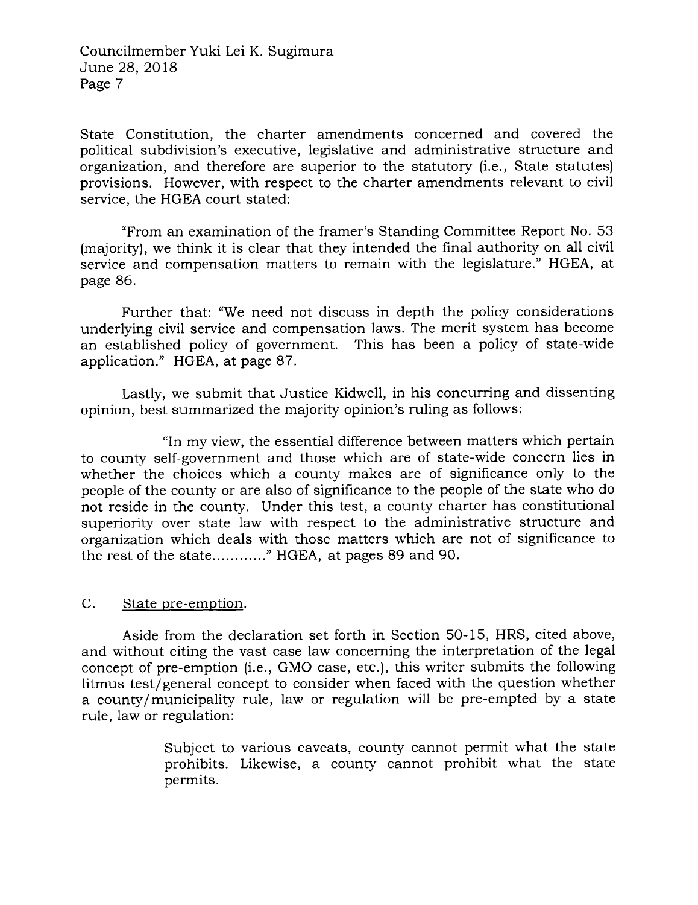State Constitution, the charter amendments concerned and covered the political subdivision's executive, legislative and administrative structure and organization, and therefore are superior to the statutory (i.e., State statutes) provisions. However, with respect to the charter amendments relevant to civil service, the HGEA court stated:

"From an examination of the framer's Standing Committee Report No. 53 (majority), we think it is clear that they intended the final authority on all civil service and compensation matters to remain with the legislature." HGEA, at page 86.

Further that: "We need not discuss in depth the policy considerations underlying civil service and compensation laws. The merit system has become an established policy of government. This has been a policy of state-wide application." HGEA, at page 87.

Lastly, we submit that Justice Kidwell, in his concurring and dissenting opinion, best summarized the majority opinion's ruling as follows:

"ln my view, the essential difference between matters which pertain to county self-government and those which are of state-wide concern lies in whether the choices which a county makes are of significance only to the people of the county or are also of significance to the people of the state who do not reside in the county. Under this test, a county charter has constitutional superiority over state law with respect to the administrative structure and organization which deals with those matters which are not of significance to the rest of the state............." HGEA, at pages 89 and 90.

### C. State pre-emption.

Aside from the declaration set forth in Section 50-15, HRS, cited above, and without citing the vast case law concerning the interpretation of the legal concept of pre-emption (i.e., GMO case, etc,), this writer submits the following litmus test/general concept to consider when faced with the question whether a county/municipality rule, law or regulation will be pre-empted by a state rule, law or regulation:

> Subject to various caveats, county cannot permit what the state prohibits. Likewise, a county cannot prohibit what the state permits.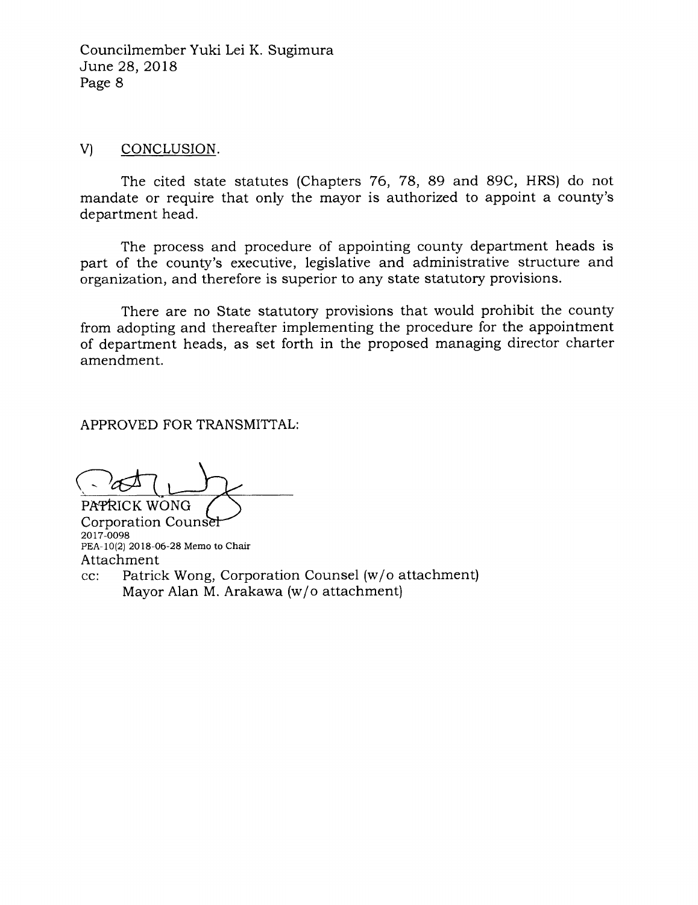### v) CONCLUSION

The cited state statutes (Chapters 76, 78, 89 and 89C, HRS) do not mandate or require that only the mayor is authorized to appoint a county's department head.

The process and procedure of appointing county department heads is part of the county's executive, legislative and administrative structure and organization, and therefore is superior to any state statutory provisions.

There are no State statutory provisions that would prohibit the county from adopting and thereafter implementing the procedure for the appointment of department heads, as set forth in the proposed managing director charter amendment.

APPROVED FOR TRANSMITTAL:

PAPRICK WONG Corporation Coun 2017-0098 PEA-10(2) 2018-06-28 Memo to Chair Attachment

cc: Patrick Wong, Corporation Counsel (w/o attachment) Mayor Alan M. Arakawa (w/o attachment)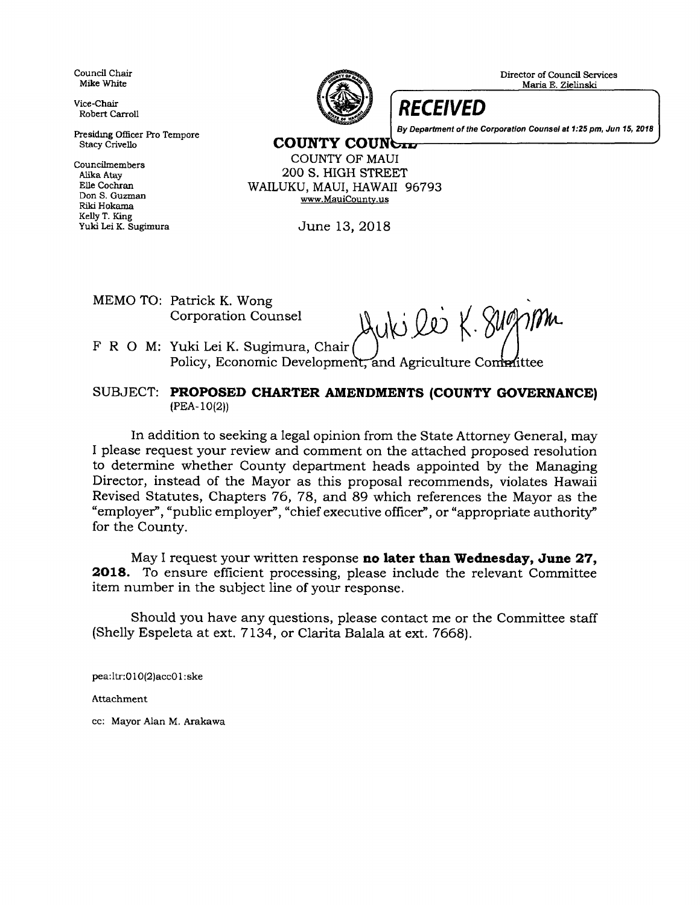Council Chair Mike White

Vice-Chair Robert Carroll

Presiding Officer Pro Tempore Stacy Crivello

**Councilmembers** Alika Atay Elle Cochran Don S. Guzman Fliki Hokama Kelly T. King Yuki lei K. Sugimura



Director of Council Services

**RECEIVED** 

By Department of the Corporation Counsel at 1:25 pm, Jun 15, 2018

COUNTY COUNGE

COUNTY OF MAUI 2OO S. HIGH STREET WAILUKU, MAUI, HAWAII 96793 www.MauiCounty.us

June 13,2018

MEMO TO: Patrick K. Wong

Corporation Counsel Huki 200 K. Summer

F R O M: Yuki Lei K. Sugimura, Chair Policy, Economic Development, and Agriculture Committee

SUBJECT: PROPOSED CHARTER AMENDMENTS (COUNTY GOVERNANCE) (PEA-10(2))

In addition to seeking a legal opinion from the State Attorney General, may I please request your review and comment on the attached proposed resolution to determine whether County department heads appointed by the Managing Director, instead of the Mayor as this proposal recommends, violates Hawaii Revised Statutes, Chapters 76, 78, and 89 which references the Mayor as the "employer", "public employer", "chief executive officer", or "appropriate authority" for the County.

May I request your written response no later than Wednesday, June  $27$ , 2018. To ensure efficient processing, please include the relevant Committee item number in the subject line of your response.

Should you have any questions, please contact me or the Committee staff (Shelly Espeleta at ext. 7134, or Clarita Balala at ext. 7668).

pea:ltr:010(2)accO 1 :ske

Attachment

cc: Mayor Alan M. Arakawa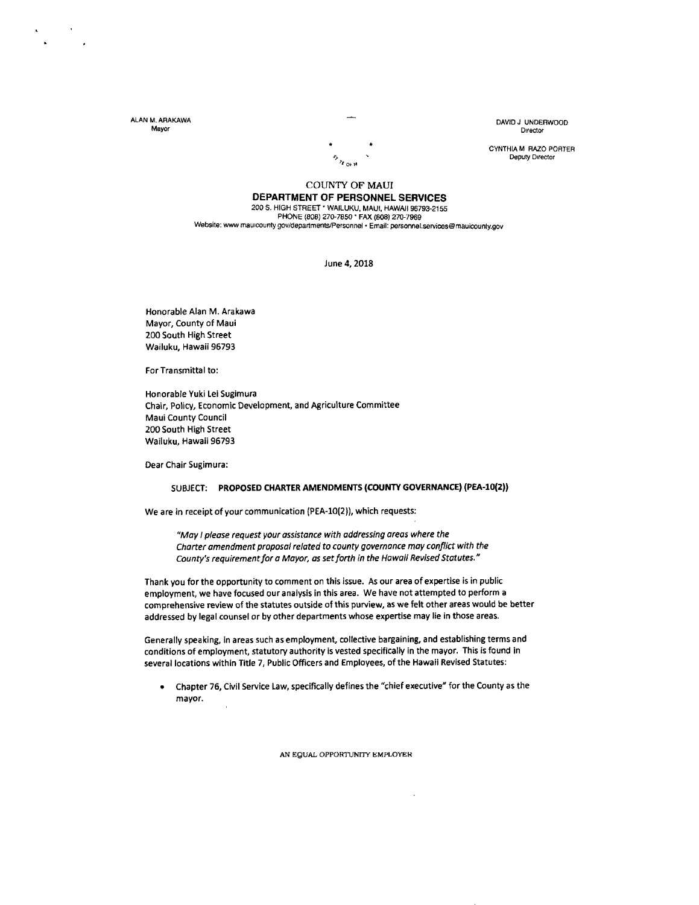ALAN M. ARAKAWA Mayor

DAVIDJ UNOEBWOOD Director

CYNTHIA M RAZO PORTER  $\sum_{\lambda_1,\ldots,\lambda_n}$  Deputy Director

#### COUNTY OF MAUI DEPARTMENT OF PERSONNEL SEBVICES

200 S. HIGH STREET \* WAILUKU, MAUI, HAWAII 96793-2155 PHONE (808) 270-7850 \* FAX (808) 270-7969 Website: www.mauicounty.gov/departments/Personnel . Email: personnel.services@mauicounty.gov

June 4, 2018

Honorable Alan M. Arakawa Mayor, County of Maui 200 South High Street Wailuku, Hawaii 95793

For Transmittal to:

Honorable Yuki Lei Sugimura Chair, Policy, Economic Development, and Agriculture Committee Maui county council 200 South High street Wailuku, Hawaii 96793

Dear Chair Sugimura:

#### SUBJECT: PROPOSED CHARTER AMENDMENTS (COUNTY GOVERNANCE) (PEA-10(2))

We are in receipt of your communication (PEA-10(2)), which requests:

"May I please request your assistance with addressing areas where the Charter amendment proposal related to county governance may conflict with the County's requirement for a Mayor, as set forth in the Hawaii Revised Statutes."

Thank you for the opportunity to comment on this issue. As our area of expertise is in public employment, we have focused our analysis in this area. We have not attempted to perform <sup>a</sup> comprehensive review of the statutes outside of this purview, as we felt other areas would be better addressed by legal counsel or by other departments whose expertise may lie in those areas.

Generally speaking, in areas such as employment, collective bargaining, and establishing terms and conditions of employment, statutory authority is vested specifically in the mayor. This is found in several locations within Title 7, Public Officers and Employees, of the Hawaii Revised Statutes:

Chapter 76, Civil Service Law, specifically defines the "chief executive" for the County as the mayor. a

AN EQUAL OPPORTUNITY EMPLOYER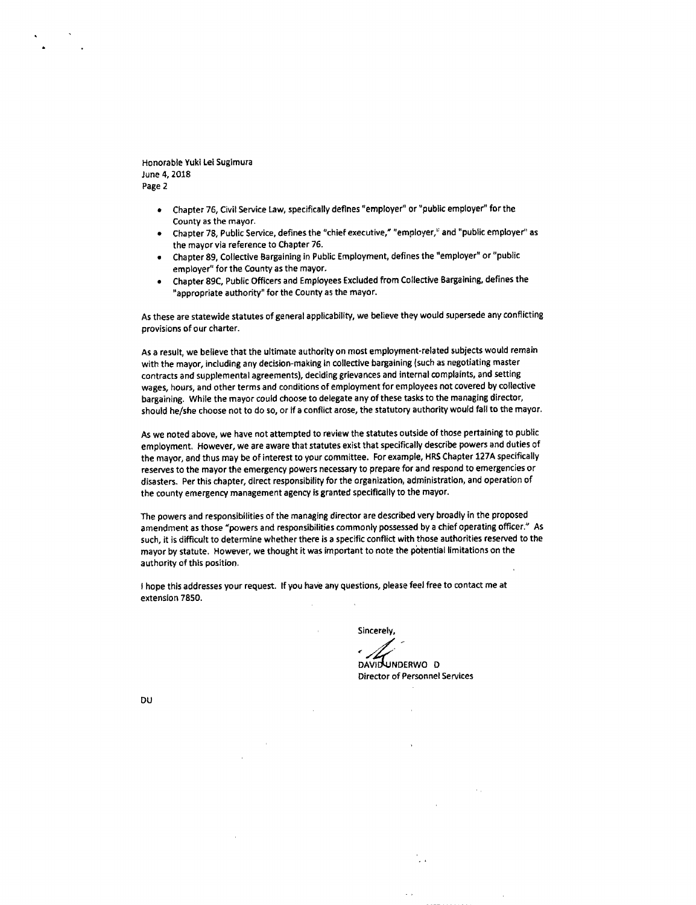Honorable Yuki Lei Sugimura June 4, 2018 Page 2

- Chapter 76, Civil Service Law, specifically deflnes "employer" or "public employer" for the County as the mayor. a
- chapter 78, Public Service, defines the "chief executive," "employer," and 'public employer" as the mayor via reference to Chapter 76.
- Chapter 89, Coliective Bargaining in Public Employment, defines the "employer" or "public employer" for the County as the mayor. a
- Chapter 89C. Public Officers and Employees Excluded from Collective Bargaining, defines the "appropriate authority" for the County as the mayor. a

As these are statewide statutes of general applicability, we believe they would supersede any conflicting provisions of our charter.

As a result, we believe that the ultimate authority on most employment-related subiects would remain with the mayor, including any decision-making in collective bargaining (such as negotiating master contracts and supplemental agreements), deciding grievances and internal complaints, and setting wages, hours, and other terms and conditions of employment for employees not covered by collective bargaining, While the mayor could choose to delegate any of these task to the managing director, should he/she choose not to do so, or if a conflict arose, the statutory authority would fall to the mayor.

As we noted above, we have not attempted to review the statutes outside of those pertaining to public employment. However, we are aware that statutes exist that specifically describe powers and duties of the mayor, and thus may be of interest to your committee. For example, HRS Chapter 127A specifically reserves to the mayor the emergency powers necessary to prepare for and respond to emergencies or disasters. Per this chapter, direct responsibility for the organization, administration, and operation of the county emergency management agency is granted specifically to the mayor.

The powers and responsibilities of the managing director are described very broadly in the proposed amendment as those "powers and responsibilities commonly possessed by a chief operating officer." As such, it is difficult to determine whether there is a specific conflict with those authorities reserved to the mayor by statute. However, we thought it was important to note the pbiential limitations on the authority of this position.

<sup>I</sup>hope this addresses your request. lf you haVe any questions, please feet free to contact me at extension 7850.

 $\mathbf{r}$ 

Sincerely,

DAVID UNDERWO D

Director of Personnel Services

 $\sim$  .

DU